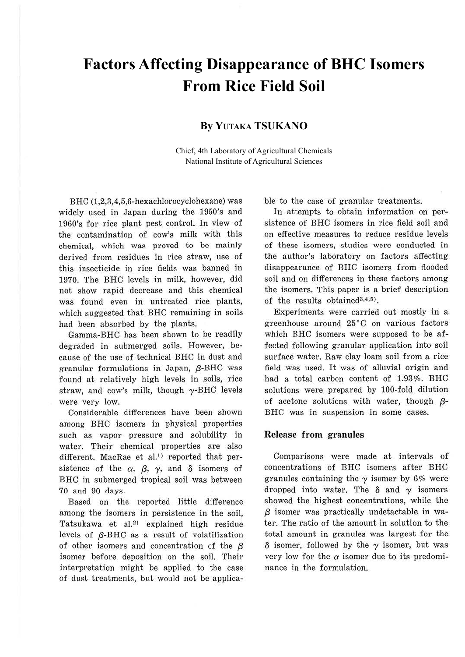# **Factors Affecting Disappearance of BHC Isomers From Rice Field Soil**

# **By YUTAKA TSUKANO**

Chief, 4th Laboratory of Agricultural Chemicals National Institute of Agricultural Sciences

BHC (1,2,3,4,5,6-hexachlorocyclohexane) was widely used in Japan during the 1950's and 1960's for rice plant pest control. In view of the contamination of cow's milk with this chemical, which was proved to be mainly derived from residues in rice straw, use of this insecticide in rice fields was banned in 1970. The BHC levels in milk, however, did not show rapid decrease and this chemical was found even in untreated rice plants, which suggested that BHC remaining in soils had been absorbed by the plants.

Gamma-BHC has been shown to be readily degraded in submerged soils. However, because of the use of technical BHC in dust and granular formulations in Japan,  $\beta$ -BHC was found at relatively high levels in soils, rice straw, and cow's milk, though  $\gamma$ -BHC levels were very low.

Considerable differences have been shown among BHC isomers in physical properties such as vapor pressure and solubility in water. Their chemical properties are also different. MacRae et al.<sup>1)</sup> reported that persistence of the  $\alpha$ ,  $\beta$ ,  $\gamma$ , and  $\delta$  isomers of BHC in submerged tropical soil was between 70 and 90 days.

Based on the reported little difference among the isomers in persistence in the soil, Tatsukawa et al.<sup>2)</sup> explained high residue levels of  $\beta$ -BHC as a result of volatilization of other isomers and concentration of the  $\beta$ isomer before deposition on the soil. Their interpretation might be applied to the case of dust treatments, but would not be applicable to the case of granular treatments.

In attempts to obtain information on persistence of BHC isomers in rice field soil and on effective measures to reduce residue levels of these isomers, studies were conducted in the author's laboratory on factors affecting disappearance of BHC isomers from flooded soil and on differences in these factors among the isomers. This paper is a brief description of the results obtained<sup>3,4,5</sup>).

Experiments were carried out mostly in a greenhouse around 25°C on various factors which BHC isomers were supposed to be affected following granular application into soil surface water. Raw clay loam soil from a rice field was used. It was of alluvial origin and had a total carbon content of 1.93%. BHC solutions were prepared by 100-fold dilution of acetone solutions with water, though  $\beta$ -BHC was in suspension in some cases.

## **Release from granules**

Comparisons were made at intervals of concentrations of BHC isomers after BHC granules containing the  $\gamma$  isomer by 6% were dropped into water. The  $\delta$  and  $\gamma$  isomers showed the highest concentrations, while the  $\beta$  isomer was practically undetactable in water. The ratio of the amount in solution to the total amount in granules was largest for the  $\delta$  isomer, followed by the  $\gamma$  isomer, but was very low for the  $\alpha$  isomer due to its predominance in the formulation.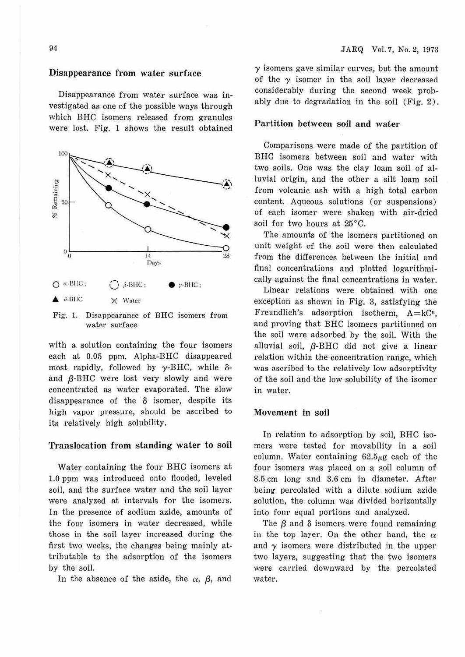# Disappearance from water surface

Disappearance from water surface was investigated as one of the possible ways through which BHC isomers released from granules were lost. Fig. 1 shows the result obtained



Fig. 1. Disappearance of BHC isomers from water surface

with a solution containing the four isomers each at 0.05 ppm. Alpha-BHC disappeared most rapidly, followed by  $\gamma$ -BHC, while  $\delta$ and  $\beta$ -BHC were lost very slowly and were concentrated as water evaporated. The slow disappearance of the *8* isomer, despite its high vapor pressure, should be ascribed to its relatively high solubility.

#### Translocation from standing water to soil

Water containing the four BHC isomers at 1.0 ppm was introduced onto flooded, leveled soil, and the surface water and the soil layer were analyzed at intervals for the isomers. In the presence of sodium azide, amounts of the four isomers in water decreased, while those in the soil layer increased during the first two weeks, the changes being mainly attributable to the adsorption of the isomers by the soil.

In the absence of the azide, the  $\alpha$ ,  $\beta$ , and

 $\gamma$  isomers gave similar curves, but the amount of the  $\gamma$  isomer in the soil layer decreased considerably during the second week probably due to degradation in the soil (Fig. 2) .

### Partition between soil and water

Comparisons were made of the partition of BHC isomers between soil and water with two soils. One was the clay loam soil of al-1 uvial origin, and the other a silt loam soil from volcanic ash with a high total carbon content. Aqueous solutions (or suspensions) of each isomer were shaken with air-dried soil for two hours at 25"C.

The amounts of the isomers partitioned on unit weight of the soil were then calculated from the differences between the initial and final concentrations and plotted logarithmically against the final concentrations in water.

Linear relations were obtained with one exception as shown in Fig. 8, satisfying the Freundlich's adsorption isotherm,  $A = kC<sup>n</sup>$ , and proving that BHC isomers partitioned on the soil were adsorbed by the soil. With the alluvial soil,  $\beta$ -BHC did not give a linear relation within the concentration range, which was ascribed to the relatively low adsorptivity of the soil and the low solubility of the isomer in water.

#### **Movement in** soil

In relation to adsorption by soil, BHC isomers were tested for movability in a soil column. Water containing  $62.5~\mu$ g each of the four isomers was placed on a soil column of 8.5 cm long and 8.6 cm in diameter. After being percolated with a dilute sodium azide solution, the column was divided horizontally into four equal portions and analyzed.

The  $\beta$  and  $\delta$  isomers were found remaining in the top layer. On the other hand, the  $\alpha$ and  $\gamma$  isomers were distributed in the upper two layers, suggesting that the two isomers were carried downward by the percolated water.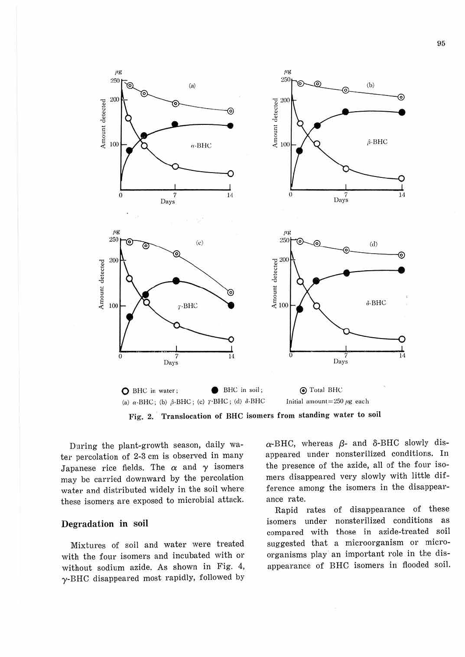

**Fig. 2. Translocation of BHC isomers from standing water to soil** 

During the plant-growth season, daily water percolation of 2-3 cm is observed in many Japanese rice fields. The  $\alpha$  and  $\gamma$  isomers may be carried downward by the percolation water and distributed widely in the soil where these isomers are exposed to microbial attack.

# Degradation in soil

Mixtures of soil and water were treated with the four isomers and incubated with or without sodium azide. As shown in Fig. 4,  $\gamma$ -BHC disappeared most rapidly, followed by

 $\alpha$ -BHC, whereas  $\beta$ - and  $\delta$ -BHC slowly disappeared under nonsterilized conditions. In the presence of the azide, all of the four isomers disappeared very slowly with little difference among the isomers in the disappearance rate.

Rapid rates of disappearance of these isomers under nonsterilized conditions as compared with those in azide-treated soil suggested that a microorganism or microorganisms play an important role in the disappearance of BHC isomers in flooded soil.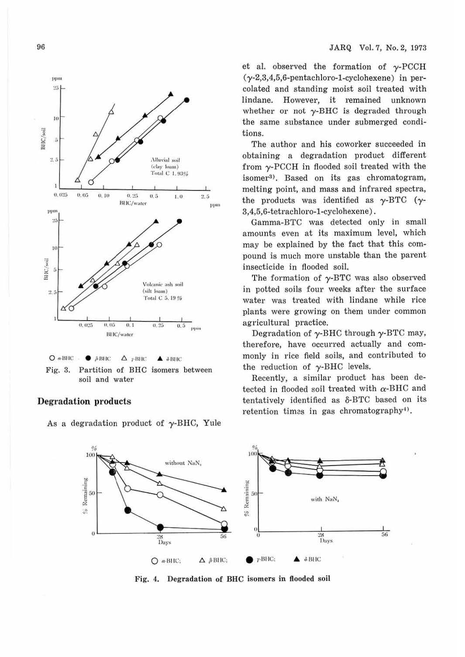96



Fig. 3. Partition of BHC isomers between soil and water

## **Degradation** products

As a degradation product of  $\gamma$ -BHC, Yule

et al. observed the formation of  $\gamma$ -PCCH  $(\gamma$ -2,3,4,5,6-pentachloro-1-cyclohexene) in percolated and standing moist soil treated with lindane. However, it remained unknown whether or not  $\gamma$ -BHC is degraded through the same substance under submerged conditions.

The author and his coworker succeeded in obtaining a degradation product different from y-PCCH in flooded soil treated with the isomer<sup>3</sup>). Based on its gas chromatogram, melting point, and mass and infrared spectra, the products was identified as  $\gamma$ -BTC ( $\gamma$ -3,4,5,6-tetrachloro-1-cyclohexene).

Gamma-BTC was detected only in small amounts even at its maximum level, which may be explained by the fact that this compound is much more unstable than the parent insecticide in flooded soil.

The formation of  $\gamma$ -BTC was also observed in potted soils four weeks after the surface water was treated with lindane while rice plants were growing on them under common agricultural practice.

Degradation of  $\gamma$ -BHC through  $\gamma$ -BTC may, therefore, have occurred actually and commonly in rice field soils, and contributed to the reduction of  $\gamma$ -BHC levels.

Recently, a similar product has been detected in flooded soil treated with  $\alpha$ -BHC and tentatively identified as  $\delta$ -BTC based on its retention times in gas chromatography<sup>4</sup>).



Fig. 4. Degradation of BHC isomers in flooded soil